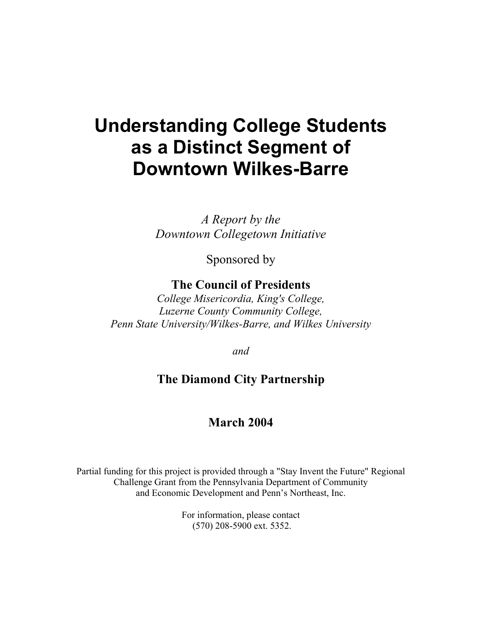# **Understanding College Students as a Distinct Segment of Downtown Wilkes-Barre**

*A Report by the Downtown Collegetown Initiative*

Sponsored by

# **The Council of Presidents**

*College Misericordia, King's College, Luzerne County Community College, Penn State University/Wilkes-Barre, and Wilkes University* 

*and* 

# **The Diamond City Partnership**

# **March 2004**

Partial funding for this project is provided through a "Stay Invent the Future" Regional Challenge Grant from the Pennsylvania Department of Community and Economic Development and Penn's Northeast, Inc.

> For information, please contact (570) 208-5900 ext. 5352.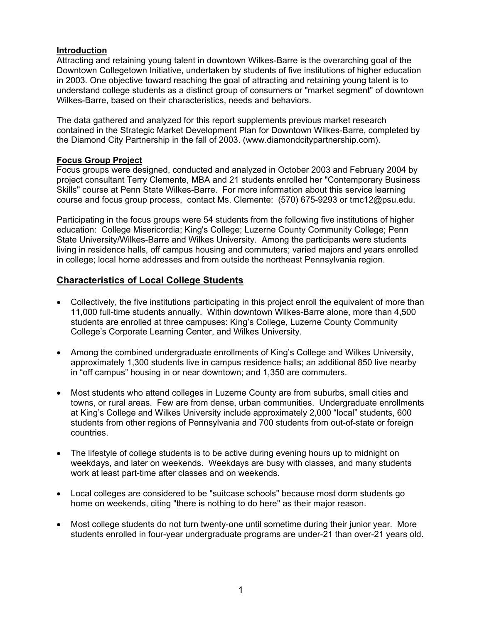#### **Introduction**

Attracting and retaining young talent in downtown Wilkes-Barre is the overarching goal of the Downtown Collegetown Initiative, undertaken by students of five institutions of higher education in 2003. One objective toward reaching the goal of attracting and retaining young talent is to understand college students as a distinct group of consumers or "market segment" of downtown Wilkes-Barre, based on their characteristics, needs and behaviors.

The data gathered and analyzed for this report supplements previous market research contained in the Strategic Market Development Plan for Downtown Wilkes-Barre, completed by the Diamond City Partnership in the fall of 2003. (www.diamondcitypartnership.com).

#### **Focus Group Project**

Focus groups were designed, conducted and analyzed in October 2003 and February 2004 by project consultant Terry Clemente, MBA and 21 students enrolled her "Contemporary Business Skills" course at Penn State Wilkes-Barre. For more information about this service learning course and focus group process, contact Ms. Clemente: (570) 675-9293 or tmc12@psu.edu.

Participating in the focus groups were 54 students from the following five institutions of higher education: College Misericordia; King's College; Luzerne County Community College; Penn State University/Wilkes-Barre and Wilkes University. Among the participants were students living in residence halls, off campus housing and commuters; varied majors and years enrolled in college; local home addresses and from outside the northeast Pennsylvania region.

#### **Characteristics of Local College Students**

- Collectively, the five institutions participating in this project enroll the equivalent of more than 11,000 full-time students annually. Within downtown Wilkes-Barre alone, more than 4,500 students are enrolled at three campuses: King's College, Luzerne County Community College's Corporate Learning Center, and Wilkes University.
- Among the combined undergraduate enrollments of King's College and Wilkes University, approximately 1,300 students live in campus residence halls; an additional 850 live nearby in "off campus" housing in or near downtown; and 1,350 are commuters.
- Most students who attend colleges in Luzerne County are from suburbs, small cities and towns, or rural areas. Few are from dense, urban communities. Undergraduate enrollments at King's College and Wilkes University include approximately 2,000 "local" students, 600 students from other regions of Pennsylvania and 700 students from out-of-state or foreign countries.
- The lifestyle of college students is to be active during evening hours up to midnight on weekdays, and later on weekends. Weekdays are busy with classes, and many students work at least part-time after classes and on weekends.
- Local colleges are considered to be "suitcase schools" because most dorm students go home on weekends, citing "there is nothing to do here" as their major reason.
- Most college students do not turn twenty-one until sometime during their junior year. More students enrolled in four-year undergraduate programs are under-21 than over-21 years old.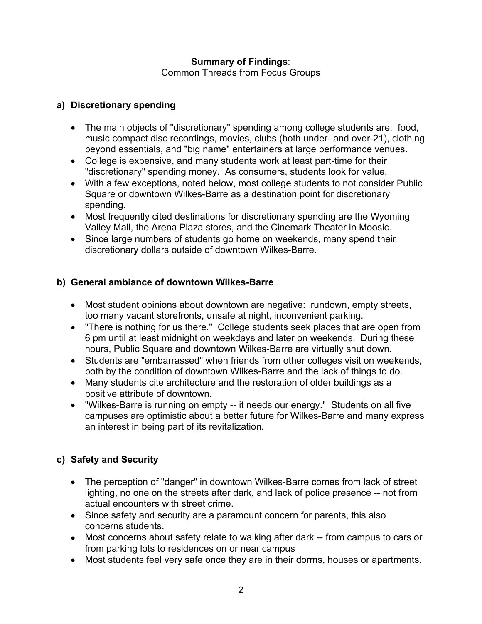#### **Summary of Findings**: Common Threads from Focus Groups

#### **a) Discretionary spending**

- The main objects of "discretionary" spending among college students are: food, music compact disc recordings, movies, clubs (both under- and over-21), clothing beyond essentials, and "big name" entertainers at large performance venues.
- College is expensive, and many students work at least part-time for their "discretionary" spending money. As consumers, students look for value.
- With a few exceptions, noted below, most college students to not consider Public Square or downtown Wilkes-Barre as a destination point for discretionary spending.
- Most frequently cited destinations for discretionary spending are the Wyoming Valley Mall, the Arena Plaza stores, and the Cinemark Theater in Moosic.
- Since large numbers of students go home on weekends, many spend their discretionary dollars outside of downtown Wilkes-Barre.

#### **b) General ambiance of downtown Wilkes-Barre**

- Most student opinions about downtown are negative: rundown, empty streets, too many vacant storefronts, unsafe at night, inconvenient parking.
- "There is nothing for us there." College students seek places that are open from 6 pm until at least midnight on weekdays and later on weekends. During these hours, Public Square and downtown Wilkes-Barre are virtually shut down.
- Students are "embarrassed" when friends from other colleges visit on weekends, both by the condition of downtown Wilkes-Barre and the lack of things to do.
- Many students cite architecture and the restoration of older buildings as a positive attribute of downtown.
- "Wilkes-Barre is running on empty -- it needs our energy." Students on all five campuses are optimistic about a better future for Wilkes-Barre and many express an interest in being part of its revitalization.

## **c) Safety and Security**

- The perception of "danger" in downtown Wilkes-Barre comes from lack of street lighting, no one on the streets after dark, and lack of police presence -- not from actual encounters with street crime.
- Since safety and security are a paramount concern for parents, this also concerns students.
- Most concerns about safety relate to walking after dark -- from campus to cars or from parking lots to residences on or near campus
- Most students feel very safe once they are in their dorms, houses or apartments.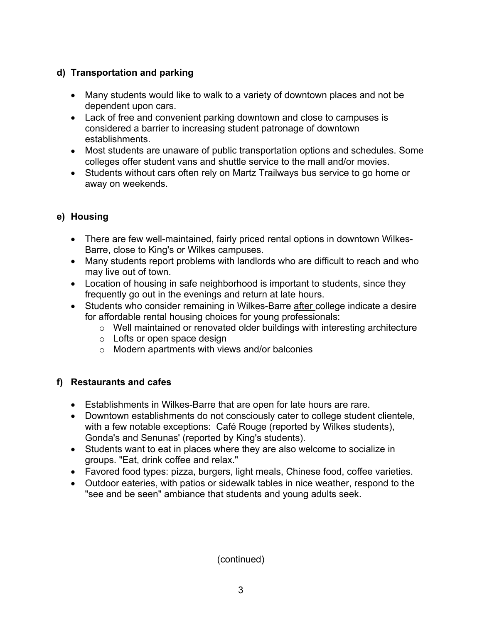#### **d) Transportation and parking**

- Many students would like to walk to a variety of downtown places and not be dependent upon cars.
- Lack of free and convenient parking downtown and close to campuses is considered a barrier to increasing student patronage of downtown establishments.
- Most students are unaware of public transportation options and schedules. Some colleges offer student vans and shuttle service to the mall and/or movies.
- Students without cars often rely on Martz Trailways bus service to go home or away on weekends.

## **e) Housing**

- There are few well-maintained, fairly priced rental options in downtown Wilkes-Barre, close to King's or Wilkes campuses.
- Many students report problems with landlords who are difficult to reach and who may live out of town.
- Location of housing in safe neighborhood is important to students, since they frequently go out in the evenings and return at late hours.
- Students who consider remaining in Wilkes-Barre after college indicate a desire for affordable rental housing choices for young professionals:
	- o Well maintained or renovated older buildings with interesting architecture
	- o Lofts or open space design
	- o Modern apartments with views and/or balconies

## **f) Restaurants and cafes**

- Establishments in Wilkes-Barre that are open for late hours are rare.
- Downtown establishments do not consciously cater to college student clientele, with a few notable exceptions: Café Rouge (reported by Wilkes students), Gonda's and Senunas' (reported by King's students).
- Students want to eat in places where they are also welcome to socialize in groups. "Eat, drink coffee and relax."
- Favored food types: pizza, burgers, light meals, Chinese food, coffee varieties.
- Outdoor eateries, with patios or sidewalk tables in nice weather, respond to the "see and be seen" ambiance that students and young adults seek.

(continued)